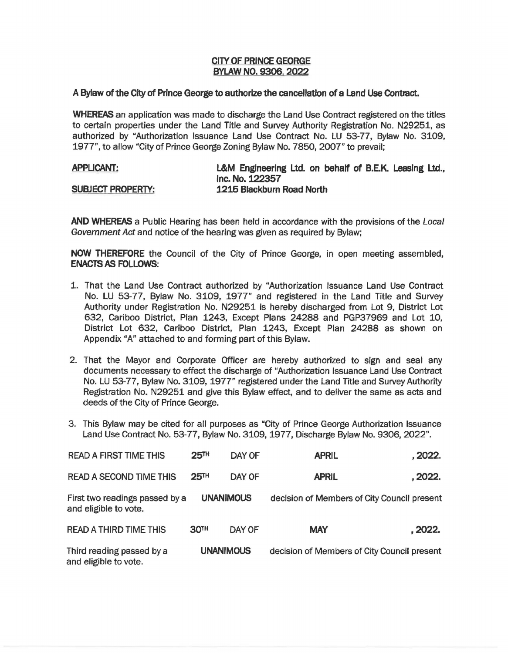## **CITY OF PRINCE GEORGE BYLAW NO. 9306, 2022**

## **A Bylaw of the City of Prince George to authorize the cancellation of a Land Use Contract.**

**WHEREAS** an application was made to discharge the Land Use Contract registered on the titles to certain properties under the Land Title and Survey Authority Registration No. N29251, as authorized by "Authorization Issuance Land Use Contract No. LU 53-77, Bylaw No. 3109, 1977", to allow "City of Prince George Zoning Bylaw No. 7850, 2007" to prevail;

| <b>APPLICANT:</b>        | L&M Engineering Ltd. on behalf of B.E.K. Leasing Ltd., |
|--------------------------|--------------------------------------------------------|
|                          | Inc. No. 122357                                        |
| <b>SUBJECT PROPERTY:</b> | 1215 Blackburn Road North                              |

**AND WHEREAS** a Public Hearing has been held in accordance with the provisions of the Local Government Act and notice of the hearing was given as required by Bylaw;

**NOW THEREFORE** the Council of the City of Prince George, in open meeting assembled, **ENACTS AS FOLLOWS:** 

- 1. That the Land Use Contract authorized by "Authorization Issuance Land Use Contract No. LU 53-77, Bylaw No. 3109, 1977" and registered in the Land Title and Survey Authority under Registration No. N29251 is hereby discharged from Lot 9, District Lot 632, Cariboo District, Plan 1243, Except Plans 24288 and PGP37969 and Lot 10, District Lot 632, Cariboo District, Plan 1243, Except Plan 24288 as shown on Appendix "A" attached to and forming part of this Bylaw.
- 2. That the Mayor and Corporate Officer are hereby authorized to sign and seal any documents necessary to effect the discharge of "Authorization Issuance Land Use Contract No. LU 53-77, Bylaw No. 3109, 1977" registered under the Land Title and Survey Authority Registration No. N29251 and give this Bylaw effect, and to deliver the same as acts and deeds of the City of Prince George.
- 3. This Bylaw may be cited for all purposes as "City of Prince George Authorization Issuance Land Use Contract No. 53-77, Bylaw No. 3109, 1977, Discharge Bylaw No. 9306, 2022".

| <b>READ A FIRST TIME THIS</b>                           | 25 <sup>TH</sup> | DAY OF | <b>APRIL</b>                                | . 2022. |
|---------------------------------------------------------|------------------|--------|---------------------------------------------|---------|
| <b>READ A SECOND TIME THIS</b>                          | 25 <sup>TH</sup> | DAY OF | <b>APRIL</b>                                | . 2022. |
| First two readings passed by a<br>and eligible to vote. | <b>UNANIMOUS</b> |        | decision of Members of City Council present |         |
| <b>READ A THIRD TIME THIS</b>                           | 30 <sup>TH</sup> | DAY OF | <b>MAY</b>                                  | .2022.  |
| Third reading passed by a<br>and eligible to vote.      | <b>UNANIMOUS</b> |        | decision of Members of City Council present |         |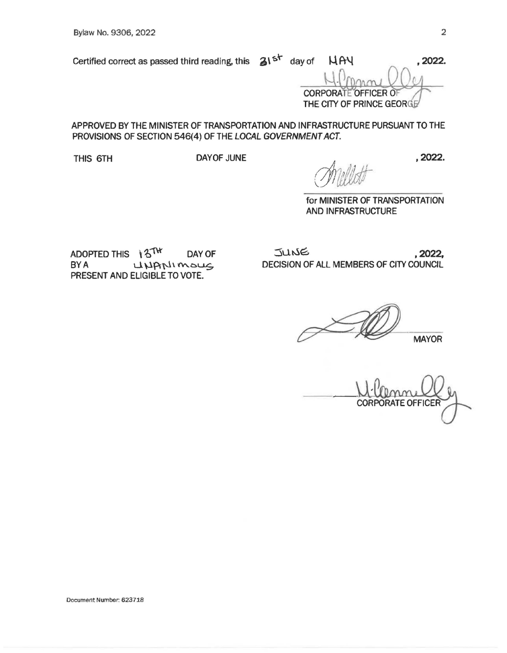Certified correct as passed third reading, this  $\Delta I^{5^+}$  day of  $\Lambda A\$ 

**CORPORATE OFFICER O** THE CITY OF PRINCE GEORGE

APPROVED BY THE MINISTER OF TRANSPORTATION AND INFRASTRUCTURE PURSUANT TO THE PROVISIONS OF SECTION 546(4) OF THE LOCAL GOVERNMENT ACT.

THIS 6TH DAYOF JUNE

for MINISTER OF TRANSPORTATION AND INFRASTRUCTURE

ADOPTED THIS  $\sqrt{3}$ <sup>TW</sup> DAY OF  $BYA$  LUANIMOUS PRESENT AND ELIGIBLE TO VOTE.

 $JUNG$ , 2022, DECISION OF ALL MEMBERS OF CITY COUNCIL

 $MAYOR$ 

**PORATE OFFICER** CORI

, **2022.**